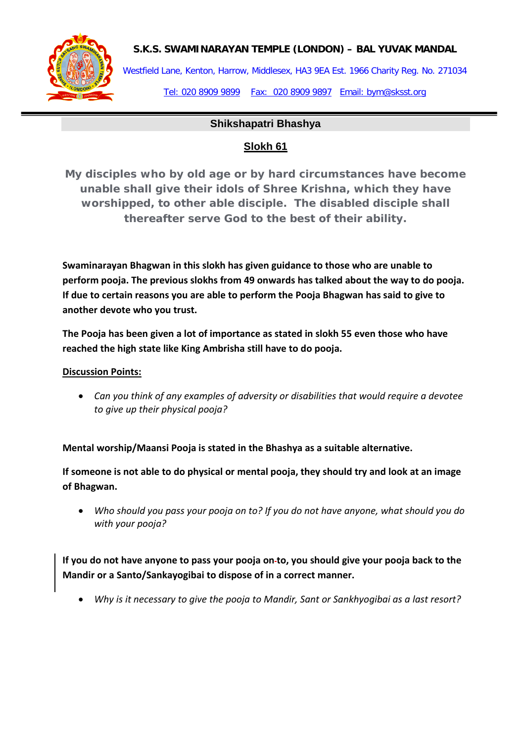

Westfield Lane, Kenton, Harrow, Middlesex, HA3 9EA Est. 1966 Charity Reg. No. 271034 Tel: 020 8909 9899 Fax: 020 8909 9897 Email: bym@sksst.org

### **Shikshapatri Bhashya**

## **Slokh 61**

**My disciples who by old age or by hard circumstances have become unable shall give their idols of Shree Krishna, which they have worshipped, to other able disciple. The disabled disciple shall thereafter serve God to the best of their ability.**

**Swaminarayan Bhagwan in this slokh has given guidance to those who are unable to perform pooja. The previous slokhs from 49 onwards has talked about the way to do pooja. If due to certain reasons you are able to perform the Pooja Bhagwan has said to give to another devote who you trust.** 

**The Pooja has been given a lot of importance as stated in slokh 55 even those who have reached the high state like King Ambrisha still have to do pooja.** 

#### **Discussion Points:**

• *Can you think of any examples of adversity or disabilities that would require a devotee to give up their physical pooja?*

**Mental worship/Maansi Pooja is stated in the Bhashya as a suitable alternative.**

**If someone is not able to do physical or mental pooja, they should try and look at an image of Bhagwan.**

• *Who should you pass your pooja on to? If you do not have anyone, what should you do with your pooja?*

**If you do not have anyone to pass your pooja on to, you should give your pooja back to the Mandir or a Santo/Sankayogibai to dispose of in a correct manner.** 

• *Why is it necessary to give the pooja to Mandir, Sant or Sankhyogibai as a last resort?*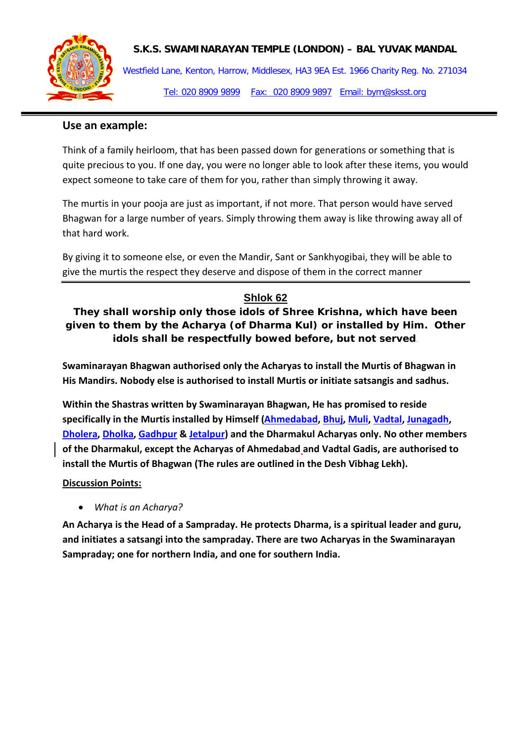

Westfield Lane, Kenton, Harrow, Middlesex, HA3 9EA Est. 1966 Charity Reg. No. 271034 Tel: 020 8909 9899 Fax: 020 8909 9897 Email: bym@sksst.org

## **Use an example:**

Think of a family heirloom, that has been passed down for generations or something that is quite precious to you. If one day, you were no longer able to look after these items, you would expect someone to take care of them for you, rather than simply throwing it away.

The murtis in your pooja are just as important, if not more. That person would have served Bhagwan for a large number of years. Simply throwing them away is like throwing away all of that hard work.

By giving it to someone else, or even the Mandir, Sant or Sankhyogibai, they will be able to give the murtis the respect they deserve and dispose of them in the correct manner

# **Shlok 62**

**They shall worship only those idols of Shree Krishna, which have been given to them by the Acharya (of Dharma Kul) or installed by Him. Other idols shall be respectfully bowed before, but not served**.

**Swaminarayan Bhagwan authorised only the Acharyas to install the Murtis of Bhagwan in His Mandirs. Nobody else is authorised to install Murtis or initiate satsangis and sadhus.**

**Within the Shastras written by Swaminarayan Bhagwan, He has promised to reside specifically in the Murtis installed by Himself [\(Ahmedabad,](http://en.wikipedia.org/wiki/Ahmedabad) [Bhuj,](http://en.wikipedia.org/wiki/Bhuj) [Muli,](http://en.wikipedia.org/wiki/Muli) [Vadtal,](http://en.wikipedia.org/wiki/Vadtal) [Junagadh,](http://en.wikipedia.org/wiki/Junagadh) [Dholera,](http://en.wikipedia.org/wiki/Dholera) [Dholka,](http://en.wikipedia.org/wiki/Dholka) [Gadhpur](http://en.wikipedia.org/wiki/Gadhpur) [& Jetalpur\)](http://en.wikipedia.org/wiki/Jetalpur) and the Dharmakul Acharyas only. No other members of the Dharmakul, except the Acharyas of Ahmedabad and Vadtal Gadis, are authorised to install the Murtis of Bhagwan (The rules are outlined in the Desh Vibhag Lekh).**

### **Discussion Points:**

• *What is an Acharya?*

**An Acharya is the Head of a Sampraday. He protects Dharma, is a spiritual leader and guru, and initiates a satsangi into the sampraday. There are two Acharyas in the Swaminarayan Sampraday; one for northern India, and one for southern India.**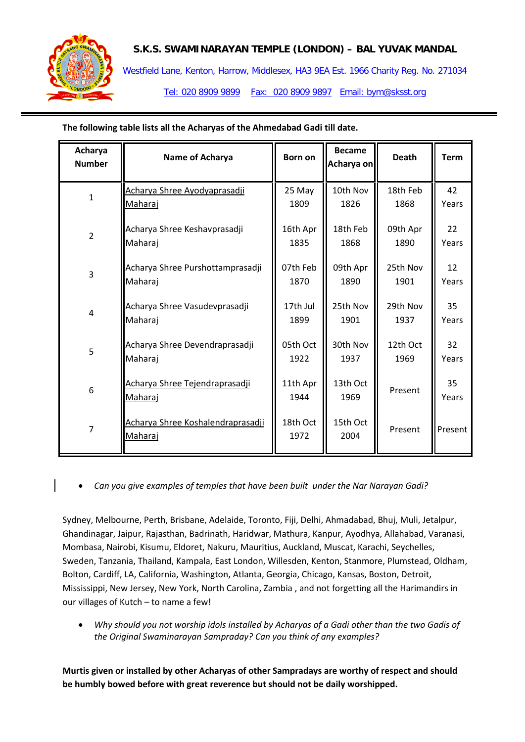

Westfield Lane, Kenton, Harrow, Middlesex, HA3 9EA Est. 1966 Charity Reg. No. 271034

Tel: 020 8909 9899 Fax: 020 8909 9897 Email: bym@sksst.org

**The following table lists all the Acharyas of the Ahmedabad Gadi till date.**

| Acharya<br><b>Number</b> | Name of Acharya                                     | <b>Born on</b>   | <b>Became</b><br>Acharya on | <b>Death</b> | <b>Term</b>       |
|--------------------------|-----------------------------------------------------|------------------|-----------------------------|--------------|-------------------|
| $\mathbf{1}$             | Acharya Shree Ayodyaprasadji                        | 25 May           | 10th Nov                    | 18th Feb     | 42                |
|                          | <u>Maharaj</u>                                      | 1809             | 1826                        | 1868         | Years             |
| $\overline{2}$           | Acharya Shree Keshavprasadji                        | 16th Apr         | 18th Feb                    | 09th Apr     | 22                |
|                          | Maharaj                                             | 1835             | 1868                        | 1890         | Years             |
| 3                        | Acharya Shree Purshottamprasadji                    | 07th Feb         | 09th Apr                    | 25th Nov     | $12 \overline{ }$ |
|                          | Maharaj                                             | 1870             | 1890                        | 1901         | Years             |
| $\overline{\mathbf{4}}$  | Acharya Shree Vasudevprasadji                       | 17th Jul         | 25th Nov                    | 29th Nov     | 35                |
|                          | Maharaj                                             | 1899             | 1901                        | 1937         | Years             |
| 5                        | Acharya Shree Devendraprasadji                      | 05th Oct         | 30th Nov                    | 12th Oct     | 32                |
|                          | Maharaj                                             | 1922             | 1937                        | 1969         | Years             |
| 6                        | Acharya Shree Tejendraprasadji<br><u>Maharaj</u>    | 11th Apr<br>1944 | 13th Oct<br>1969            | Present      | 35<br>Years       |
| $\overline{7}$           | Acharya Shree Koshalendraprasadji<br><u>Maharaj</u> | 18th Oct<br>1972 | 15th Oct<br>2004            | Present      | Present           |

• *Can you give examples of temples that have been built under the Nar Narayan Gadi?* 

Sydney, Melbourne, Perth, Brisbane, Adelaide, Toronto, Fiji, Delhi, Ahmadabad, Bhuj, Muli, Jetalpur, Ghandinagar, Jaipur, Rajasthan, Badrinath, Haridwar, Mathura, Kanpur, Ayodhya, Allahabad, Varanasi, Mombasa, Nairobi, Kisumu, Eldoret, Nakuru, Mauritius, Auckland, Muscat, Karachi, Seychelles, Sweden, Tanzania, Thailand, Kampala, East London, Willesden, Kenton, Stanmore, Plumstead, Oldham, Bolton, Cardiff, LA, California, Washington, Atlanta, Georgia, Chicago, Kansas, Boston, Detroit, Mississippi, New Jersey, New York, North Carolina, Zambia , and not forgetting all the Harimandirs in our villages of Kutch – to name a few!

• *Why should you not worship idols installed by Acharyas of a Gadi other than the two Gadis of the Original Swaminarayan Sampraday? Can you think of any examples?*

**Murtis given or installed by other Acharyas of other Sampradays are worthy of respect and should be humbly bowed before with great reverence but should not be daily worshipped.**